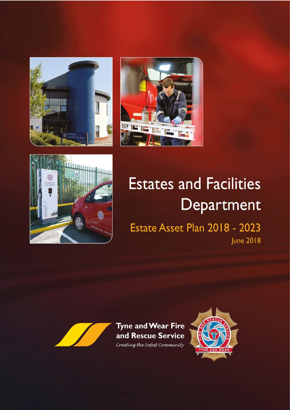





# **Estates and Facilities** Department

Estate Asset Plan 2018 - 2023 **June 2018** 



Tyne and Wear Fire and Rescue Service Creating the Safest Community

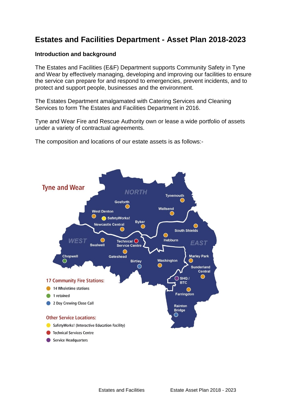## **Estates and Facilities Department - Asset Plan 2018-2023**

#### **Introduction and background**

The Estates and Facilities (E&F) Department supports Community Safety in Tyne and Wear by effectively managing, developing and improving our facilities to ensure the service can prepare for and respond to emergencies, prevent incidents, and to protect and support people, businesses and the environment.

The Estates Department amalgamated with Catering Services and Cleaning Services to form The Estates and Facilities Department in 2016.

Tyne and Wear Fire and Rescue Authority own or lease a wide portfolio of assets under a variety of contractual agreements.

The composition and locations of our estate assets is as follows:-

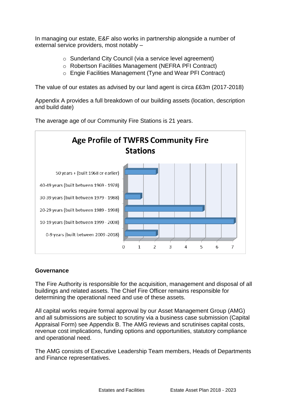In managing our estate, E&F also works in partnership alongside a number of external service providers, most notably –

- o Sunderland City Council (via a service level agreement)
- o Robertson Facilities Management (NEFRA PFI Contract)
- o Engie Facilities Management (Tyne and Wear PFI Contract)

The value of our estates as advised by our land agent is circa £63m (2017-2018)

Appendix A provides a full breakdown of our building assets (location, description and build date)

**Age Profile of TWFRS Community Fire Stations** 50 years + (built 1968 or earlier) 40-49 years (built between 1969 - 1978) 30-39 years (built between 1979 - 1988) 20-29 years (built between 1989 - 1998) 10-19 years (built between 1999 - 2008) 0-9 years (built between 2009 -2018)  $\Omega$  $\overline{\phantom{a}}$ 3 4 1 5 6  $\overline{7}$ 

The average age of our Community Fire Stations is 21 years.

#### **Governance**

The Fire Authority is responsible for the acquisition, management and disposal of all buildings and related assets. The Chief Fire Officer remains responsible for determining the operational need and use of these assets.

All capital works require formal approval by our Asset Management Group (AMG) and all submissions are subject to scrutiny via a business case submission (Capital Appraisal Form) see Appendix B. The AMG reviews and scrutinises capital costs, revenue cost implications, funding options and opportunities, statutory compliance and operational need.

The AMG consists of Executive Leadership Team members, Heads of Departments and Finance representatives.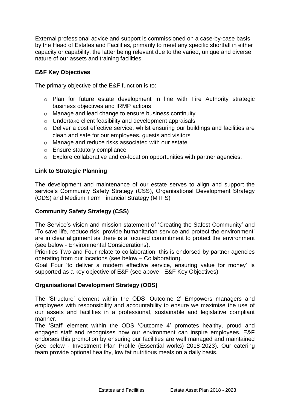External professional advice and support is commissioned on a case-by-case basis by the Head of Estates and Facilities, primarily to meet any specific shortfall in either capacity or capability, the latter being relevant due to the varied, unique and diverse nature of our assets and training facilities

#### **E&F Key Objectives**

The primary objective of the E&F function is to:

- o Plan for future estate development in line with Fire Authority strategic business objectives and IRMP actions
- o Manage and lead change to ensure business continuity
- o Undertake client feasibility and development appraisals
- o Deliver a cost effective service, whilst ensuring our buildings and facilities are clean and safe for our employees, guests and visitors
- o Manage and reduce risks associated with our estate
- o Ensure statutory compliance
- o Explore collaborative and co-location opportunities with partner agencies.

#### **Link to Strategic Planning**

The development and maintenance of our estate serves to align and support the service's Community Safety Strategy (CSS), Organisational Development Strategy (ODS) and Medium Term Financial Strategy (MTFS)

#### **Community Safety Strategy (CSS)**

The Service's vision and mission statement of 'Creating the Safest Community' and 'To save life, reduce risk, provide humanitarian service and protect the environment' are in clear alignment as there is a focused commitment to protect the environment (see below - Environmental Considerations).

Priorities Two and Four relate to collaboration, this is endorsed by partner agencies operating from our locations (see below – Collaboration).

Goal Four 'to deliver a modern effective service, ensuring value for money' is supported as a key objective of E&F (see above - E&F Key Objectives)

#### **Organisational Development Strategy (ODS)**

The 'Structure' element within the ODS 'Outcome 2' Empowers managers and employees with responsibility and accountability to ensure we maximise the use of our assets and facilities in a professional, sustainable and legislative compliant manner.

The 'Staff' element within the ODS 'Outcome 4' promotes healthy, proud and engaged staff and recognises how our environment can inspire employees. E&F endorses this promotion by ensuring our facilities are well managed and maintained (see below - Investment Plan Profile (Essential works) 2018-2023). Our catering team provide optional healthy, low fat nutritious meals on a daily basis.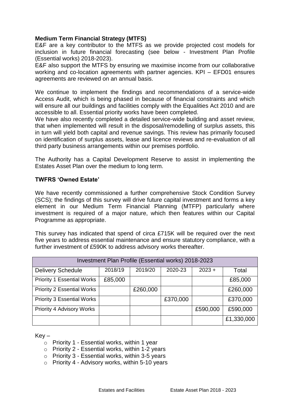#### **Medium Term Financial Strategy (MTFS)**

E&F are a key contributor to the MTFS as we provide projected cost models for inclusion in future financial forecasting (see below - Investment Plan Profile (Essential works) 2018-2023).

E&F also support the MTFS by ensuring we maximise income from our collaborative working and co-location agreements with partner agencies. KPI – EFD01 ensures agreements are reviewed on an annual basis.

We continue to implement the findings and recommendations of a service-wide Access Audit, which is being phased in because of financial constraints and which will ensure all our buildings and facilities comply with the Equalities Act 2010 and are accessible to all. Essential priority works have been completed.

We have also recently completed a detailed service-wide building and asset review, that when implemented will result in the disposal/remodelling of surplus assets, this in turn will yield both capital and revenue savings. This review has primarily focused on identification of surplus assets, lease and licence reviews and re-evaluation of all third party business arrangements within our premises portfolio.

The Authority has a Capital Development Reserve to assist in implementing the Estates Asset Plan over the medium to long term.

#### **TWFRS 'Owned Estate'**

We have recently commissioned a further comprehensive Stock Condition Survey (SCS); the findings of this survey will drive future capital investment and forms a key element in our Medium Term Financial Planning (MTFP) particularly where investment is required of a major nature, which then features within our Capital Programme as appropriate.

This survey has indicated that spend of circa £715K will be required over the next five years to address essential maintenance and ensure statutory compliance, with a further investment of £590K to address advisory works thereafter.

| Investment Plan Profile (Essential works) 2018-2023 |         |          |          |          |            |  |  |  |  |
|-----------------------------------------------------|---------|----------|----------|----------|------------|--|--|--|--|
| <b>Delivery Schedule</b>                            | 2018/19 | 2019/20  | 2020-23  | $2023 +$ | Total      |  |  |  |  |
| <b>Priority 1 Essential Works</b>                   | £85,000 |          |          |          | £85,000    |  |  |  |  |
| <b>Priority 2 Essential Works</b>                   |         | £260,000 |          |          | £260,000   |  |  |  |  |
| <b>Priority 3 Essential Works</b>                   |         |          | £370,000 |          | £370,000   |  |  |  |  |
| Priority 4 Advisory Works                           |         |          |          | £590,000 | £590,000   |  |  |  |  |
|                                                     |         |          |          |          | £1,330,000 |  |  |  |  |

 $Key -$ 

- $\circ$  Priority 1 Essential works, within 1 year
- o Priority 2 Essential works, within 1-2 years
- o Priority 3 Essential works, within 3-5 years
- $\circ$  Priority 4 Advisory works, within 5-10 years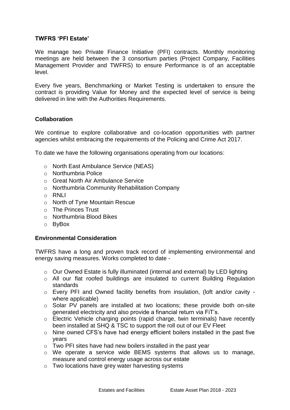#### **TWFRS 'PFI Estate'**

We manage two Private Finance Initiative (PFI) contracts. Monthly monitoring meetings are held between the 3 consortium parties (Project Company, Facilities Management Provider and TWFRS) to ensure Performance is of an acceptable level.

Every five years, Benchmarking or Market Testing is undertaken to ensure the contract is providing Value for Money and the expected level of service is being delivered in line with the Authorities Requirements.

#### **Collaboration**

We continue to explore collaborative and co-location opportunities with partner agencies whilst embracing the requirements of the Policing and Crime Act 2017.

To date we have the following organisations operating from our locations:

- o North East Ambulance Service (NEAS)
- o Northumbria Police
- o Great North Air Ambulance Service
- o Northumbria Community Rehabilitation Company
- $\circ$  RNLI
- o North of Tyne Mountain Rescue
- o The Princes Trust
- o Northumbria Blood Bikes
- o ByBox

#### **Environmental Consideration**

TWFRS have a long and proven track record of implementing environmental and energy saving measures. Works completed to date -

- o Our Owned Estate is fully illuminated (internal and external) by LED lighting
- o All our flat roofed buildings are insulated to current Building Regulation standards
- o Every PFI and Owned facility benefits from insulation, (loft and/or cavity where applicable)
- o Solar PV panels are installed at two locations; these provide both on-site generated electricity and also provide a financial return via FiT's.
- o Electric Vehicle charging points (rapid charge, twin terminals) have recently been installed at SHQ & TSC to support the roll out of our EV Fleet
- o Nine owned CFS's have had energy efficient boilers installed in the past five years
- o Two PFI sites have had new boilers installed in the past year
- o We operate a service wide BEMS systems that allows us to manage, measure and control energy usage across our estate
- o Two locations have grey water harvesting systems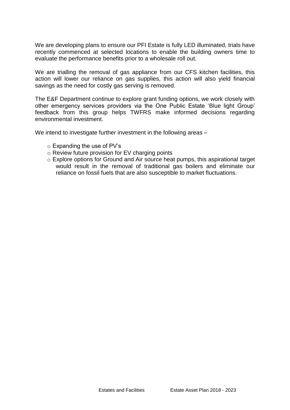We are developing plans to ensure our PFI Estate is fully LED illuminated, trials have recently commenced at selected locations to enable the building owners time to evaluate the performance benefits prior to a wholesale roll out.

We are trialling the removal of gas appliance from our CFS kitchen facilities, this action will lower our reliance on gas supplies, this action will also yield financial savings as the need for costly gas serving is removed.

The E&F Department continue to explore grant funding options, we work closely with other emergency services providers via the One Public Estate 'Blue light Group' feedback from this group helps TWFRS make informed decisions regarding environmental investment.

We intend to investigate further investment in the following areas -

- o Expanding the use of PV's
- o Review future provision for EV charging points
- o Explore options for Ground and Air source heat pumps, this aspirational target would result in the removal of traditional gas boilers and eliminate our reliance on fossil fuels that are also susceptible to market fluctuations.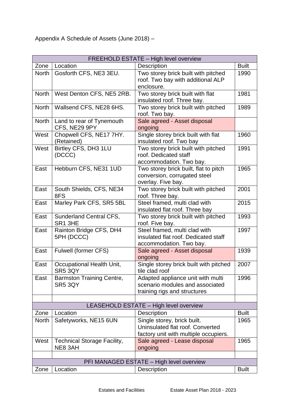| FREEHOLD ESTATE - High level overview |                                    |                                                                       |              |  |  |
|---------------------------------------|------------------------------------|-----------------------------------------------------------------------|--------------|--|--|
| Zone                                  | Location                           | Description                                                           | <b>Built</b> |  |  |
| <b>North</b>                          | Gosforth CFS, NE3 3EU.             | Two storey brick built with pitched                                   | 1990         |  |  |
|                                       |                                    | roof. Two bay with additional ALP                                     |              |  |  |
|                                       |                                    | enclosure.                                                            |              |  |  |
| North                                 | West Denton CFS, NE5 2RB.          | Two storey brick built with flat                                      | 1981         |  |  |
|                                       |                                    | insulated roof. Three bay.                                            |              |  |  |
| <b>North</b>                          | Wallsend CFS, NE28 6HS.            | Two storey brick built with pitched                                   | 1989         |  |  |
|                                       |                                    | roof. Two bay.                                                        |              |  |  |
| <b>North</b>                          | Land to rear of Tynemouth          | Sale agreed - Asset disposal                                          |              |  |  |
|                                       | CFS, NE29 9PY                      | ongoing                                                               |              |  |  |
| West                                  | Chopwell CFS, NE17 7HY.            | Single storey brick built with flat                                   | 1960         |  |  |
|                                       | (Retained)                         | insulated roof. Two bay                                               |              |  |  |
| West                                  | Birtley CFS, DH3 1LU               | Two storey brick built with pitched                                   | 1991         |  |  |
|                                       | (DCCC)                             | roof. Dedicated staff                                                 |              |  |  |
|                                       |                                    | accommodation. Two bay.                                               |              |  |  |
| East                                  | Hebburn CFS, NE31 1UD              | Two storey brick built, flat to pitch                                 | 1965         |  |  |
|                                       |                                    | conversion, corrugated steel                                          |              |  |  |
|                                       |                                    | overlay. Five bay.                                                    |              |  |  |
| East                                  | South Shields, CFS, NE34           | Two storey brick built with pitched                                   | 2001         |  |  |
|                                       | 8FS                                | roof. Three bay.                                                      |              |  |  |
| East                                  | Marley Park CFS, SR5 5BL           | Steel framed, multi clad with                                         | 2015         |  |  |
|                                       |                                    | insulated flat roof. Three bay                                        |              |  |  |
| East                                  | Sunderland Central CFS,            | Two storey brick built with pitched                                   | 1993         |  |  |
|                                       | SR1 3HE                            | roof. Five bay.                                                       |              |  |  |
| East                                  | Rainton Bridge CFS, DH4            | Steel framed, multi clad with<br>insulated flat roof. Dedicated staff | 1997         |  |  |
|                                       | 5PH (DCCC)                         |                                                                       |              |  |  |
| East                                  | Fulwell (former CFS)               | accommodation. Two bay.<br>Sale agreed - Asset disposal               | 1939         |  |  |
|                                       |                                    | ongoing                                                               |              |  |  |
| East                                  | Occupational Health Unit,          | Single storey brick built with pitched                                | 2007         |  |  |
|                                       | SR5 3QY                            | tile clad roof                                                        |              |  |  |
| East                                  | <b>Barmston Training Centre,</b>   | Adapted appliance unit with multi                                     | 1996         |  |  |
|                                       | <b>SR5 3QY</b>                     | scenario modules and associated                                       |              |  |  |
|                                       |                                    | training rigs and structures                                          |              |  |  |
|                                       |                                    |                                                                       |              |  |  |
|                                       |                                    | LEASEHOLD ESTATE - High level overview                                |              |  |  |
| Zone                                  | Location                           | <b>Description</b>                                                    | <b>Built</b> |  |  |
| <b>North</b>                          | Safetyworks, NE15 6UN              | Single storey, brick built.                                           | 1965         |  |  |
|                                       |                                    | Uninsulated flat roof. Converted                                      |              |  |  |
|                                       |                                    | factory unit with multiple occupiers.                                 |              |  |  |
| West                                  | <b>Technical Storage Facility,</b> | Sale agreed - Lease disposal                                          | 1965         |  |  |
|                                       | NE8 3AH                            | ongoing                                                               |              |  |  |
|                                       |                                    |                                                                       |              |  |  |
|                                       |                                    | PFI MANAGED ESTATE - High level overview                              |              |  |  |
| Zone                                  | Location                           | <b>Description</b>                                                    | <b>Built</b> |  |  |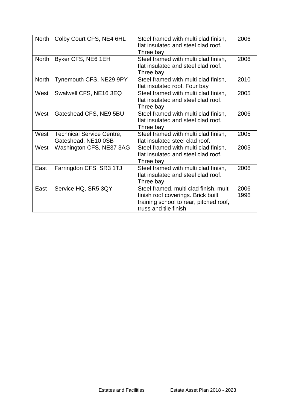| <b>North</b> | Colby Court CFS, NE4 6HL                                | Steel framed with multi clad finish,<br>flat insulated and steel clad roof.<br>Three bay                                                        | 2006         |
|--------------|---------------------------------------------------------|-------------------------------------------------------------------------------------------------------------------------------------------------|--------------|
| <b>North</b> | Byker CFS, NE6 1EH                                      | Steel framed with multi clad finish,<br>flat insulated and steel clad roof.<br>Three bay                                                        | 2006         |
| <b>North</b> | Tynemouth CFS, NE29 9PY                                 | Steel framed with multi clad finish,<br>flat insulated roof. Four bay                                                                           | 2010         |
| West         | Swalwell CFS, NE16 3EQ                                  | Steel framed with multi clad finish,<br>flat insulated and steel clad roof.<br>Three bay                                                        | 2005         |
| West         | Gateshead CFS, NE9 5BU                                  | Steel framed with multi clad finish,<br>flat insulated and steel clad roof.<br>Three bay                                                        | 2006         |
| West         | <b>Technical Service Centre,</b><br>Gateshead, NE10 0SB | Steel framed with multi clad finish,<br>flat insulated steel clad roof.                                                                         | 2005         |
| West         | Washington CFS, NE37 3AG                                | Steel framed with multi clad finish,<br>flat insulated and steel clad roof.<br>Three bay                                                        | 2005         |
| East         | Farringdon CFS, SR3 1TJ                                 | Steel framed with multi clad finish,<br>flat insulated and steel clad roof.<br>Three bay                                                        | 2006         |
| East         | Service HQ, SR5 3QY                                     | Steel framed, multi clad finish, multi<br>finish roof coverings. Brick built<br>training school to rear, pitched roof,<br>truss and tile finish | 2006<br>1996 |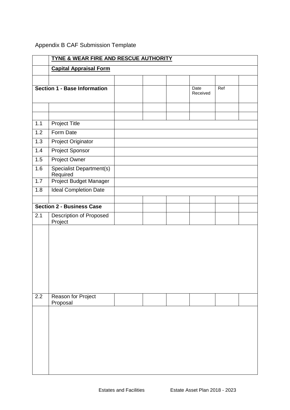|     | TYNE & WEAR FIRE AND RESCUE AUTHORITY       |  |  |  |          |     |  |
|-----|---------------------------------------------|--|--|--|----------|-----|--|
|     | <b>Capital Appraisal Form</b>               |  |  |  |          |     |  |
|     |                                             |  |  |  |          |     |  |
|     | <b>Section 1 - Base Information</b>         |  |  |  | Date     | Ref |  |
|     |                                             |  |  |  | Received |     |  |
|     |                                             |  |  |  |          |     |  |
|     |                                             |  |  |  |          |     |  |
| 1.1 | <b>Project Title</b>                        |  |  |  |          |     |  |
| 1.2 | Form Date                                   |  |  |  |          |     |  |
| 1.3 | Project Originator                          |  |  |  |          |     |  |
| 1.4 | <b>Project Sponsor</b>                      |  |  |  |          |     |  |
| 1.5 | Project Owner                               |  |  |  |          |     |  |
| 1.6 | <b>Specialist Department(s)</b><br>Required |  |  |  |          |     |  |
| 1.7 | Project Budget Manager                      |  |  |  |          |     |  |
| 1.8 | <b>Ideal Completion Date</b>                |  |  |  |          |     |  |
|     |                                             |  |  |  |          |     |  |
|     | <b>Section 2 - Business Case</b>            |  |  |  |          |     |  |
| 2.1 | Description of Proposed<br>Project          |  |  |  |          |     |  |
|     |                                             |  |  |  |          |     |  |
|     |                                             |  |  |  |          |     |  |
|     |                                             |  |  |  |          |     |  |
|     |                                             |  |  |  |          |     |  |
|     |                                             |  |  |  |          |     |  |
|     |                                             |  |  |  |          |     |  |
|     |                                             |  |  |  |          |     |  |
|     |                                             |  |  |  |          |     |  |
| 2.2 | Reason for Project<br>Proposal              |  |  |  |          |     |  |
|     |                                             |  |  |  |          |     |  |
|     |                                             |  |  |  |          |     |  |
|     |                                             |  |  |  |          |     |  |
|     |                                             |  |  |  |          |     |  |
|     |                                             |  |  |  |          |     |  |
|     |                                             |  |  |  |          |     |  |
|     |                                             |  |  |  |          |     |  |
|     |                                             |  |  |  |          |     |  |

### Appendix B CAF Submission Template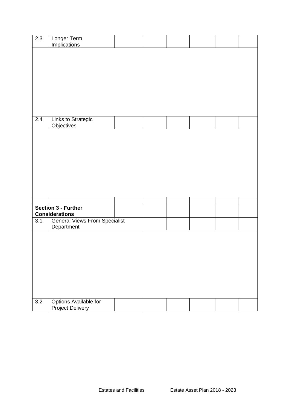| 2.3 | Longer Term                               |  |  |  |
|-----|-------------------------------------------|--|--|--|
|     | <b>Implications</b>                       |  |  |  |
|     |                                           |  |  |  |
|     |                                           |  |  |  |
|     |                                           |  |  |  |
|     |                                           |  |  |  |
|     |                                           |  |  |  |
|     |                                           |  |  |  |
|     |                                           |  |  |  |
|     |                                           |  |  |  |
|     |                                           |  |  |  |
|     |                                           |  |  |  |
|     |                                           |  |  |  |
|     |                                           |  |  |  |
| 2.4 | Links to Strategic                        |  |  |  |
|     | Objectives                                |  |  |  |
|     |                                           |  |  |  |
|     |                                           |  |  |  |
|     |                                           |  |  |  |
|     |                                           |  |  |  |
|     |                                           |  |  |  |
|     |                                           |  |  |  |
|     |                                           |  |  |  |
|     |                                           |  |  |  |
|     |                                           |  |  |  |
|     |                                           |  |  |  |
|     |                                           |  |  |  |
|     |                                           |  |  |  |
|     |                                           |  |  |  |
|     | Section 3 - Further                       |  |  |  |
|     | <b>Considerations</b>                     |  |  |  |
| 3.1 | <b>General Views From Specialist</b>      |  |  |  |
|     | Department                                |  |  |  |
|     |                                           |  |  |  |
|     |                                           |  |  |  |
|     |                                           |  |  |  |
|     |                                           |  |  |  |
|     |                                           |  |  |  |
|     |                                           |  |  |  |
|     |                                           |  |  |  |
|     |                                           |  |  |  |
|     |                                           |  |  |  |
|     |                                           |  |  |  |
|     |                                           |  |  |  |
|     |                                           |  |  |  |
| 3.2 | Options Available for<br>Project Delivery |  |  |  |
|     |                                           |  |  |  |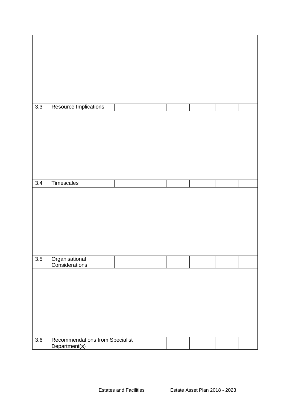| 3.3 | Resource Implications                            |  |  |  |
|-----|--------------------------------------------------|--|--|--|
|     |                                                  |  |  |  |
| 3.4 | Timescales                                       |  |  |  |
|     |                                                  |  |  |  |
| 3.5 | Organisational<br>Considerations                 |  |  |  |
|     |                                                  |  |  |  |
| 3.6 | Recommendations from Specialist<br>Department(s) |  |  |  |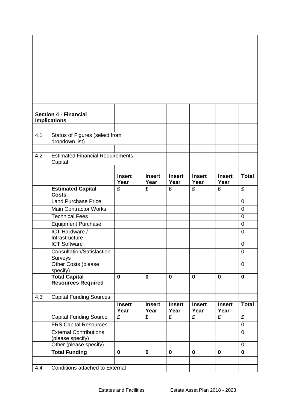|     | <b>Section 4 - Financial</b>              |                                 |                                 |                                 |                                 |                                 |                           |
|-----|-------------------------------------------|---------------------------------|---------------------------------|---------------------------------|---------------------------------|---------------------------------|---------------------------|
|     | <b>Implications</b>                       |                                 |                                 |                                 |                                 |                                 |                           |
| 4.1 | Status of Figures (select from            |                                 |                                 |                                 |                                 |                                 |                           |
|     | dropdown list)                            |                                 |                                 |                                 |                                 |                                 |                           |
|     |                                           |                                 |                                 |                                 |                                 |                                 |                           |
| 4.2 | <b>Estimated Financial Requirements -</b> |                                 |                                 |                                 |                                 |                                 |                           |
|     | Capital                                   |                                 |                                 |                                 |                                 |                                 |                           |
|     |                                           |                                 |                                 |                                 |                                 |                                 |                           |
|     |                                           | <b>Insert</b><br>Year           | <b>Insert</b><br>Year           | <b>Insert</b><br>Year           | <b>Insert</b><br>Year           | <b>Insert</b><br>Year           | <b>Total</b>              |
|     | <b>Estimated Capital</b>                  | $\overline{\mathbf{f}}$         | $\overline{\mathbf{f}}$         | $\overline{\mathbf{f}}$         | $\overline{\mathbf{f}}$         | $\overline{\mathbf{f}}$         | £                         |
|     | <b>Costs</b>                              |                                 |                                 |                                 |                                 |                                 |                           |
|     | <b>Land Purchase Price</b>                |                                 |                                 |                                 |                                 |                                 | $\overline{0}$            |
|     | <b>Main Contractor Works</b>              |                                 |                                 |                                 |                                 |                                 | $\overline{0}$            |
|     | <b>Technical Fees</b>                     |                                 |                                 |                                 |                                 |                                 | 0                         |
|     | Equipment Purchase                        |                                 |                                 |                                 |                                 |                                 | $\overline{0}$            |
|     | <b>ICT Hardware /</b><br>Infrastructure   |                                 |                                 |                                 |                                 |                                 | $\overline{0}$            |
|     | <b>ICT Software</b>                       |                                 |                                 |                                 |                                 |                                 | 0                         |
|     | <b>Consultation/Satisfaction</b>          |                                 |                                 |                                 |                                 |                                 | 0                         |
|     | Surveys                                   |                                 |                                 |                                 |                                 |                                 |                           |
|     | Other Costs (please                       |                                 |                                 |                                 |                                 |                                 | $\overline{0}$            |
|     | specify)<br><b>Total Capital</b>          | $\mathbf 0$                     | $\mathbf{0}$                    | $\mathbf 0$                     | $\mathbf 0$                     | $\mathbf 0$                     | $\mathbf 0$               |
|     | <b>Resources Required</b>                 |                                 |                                 |                                 |                                 |                                 |                           |
|     |                                           |                                 |                                 |                                 |                                 |                                 |                           |
| 4.3 | <b>Capital Funding Sources</b>            |                                 |                                 |                                 |                                 |                                 |                           |
|     |                                           | <b>Insert</b>                   | <b>Insert</b>                   | <b>Insert</b>                   | <b>Insert</b>                   | <b>Insert</b>                   | $\overline{\text{Total}}$ |
|     | <b>Capital Funding Source</b>             | Year<br>$\overline{\mathbf{f}}$ | Year<br>$\overline{\mathbf{f}}$ | Year<br>$\overline{\mathbf{f}}$ | Year<br>$\overline{\mathbf{f}}$ | Year<br>$\overline{\mathbf{f}}$ | $\overline{\mathbf{f}}$   |
|     | <b>FRS Capital Resources</b>              |                                 |                                 |                                 |                                 |                                 | $\mathbf 0$               |
|     | <b>External Contributions</b>             |                                 |                                 |                                 |                                 |                                 | $\overline{0}$            |
|     | (please specify)                          |                                 |                                 |                                 |                                 |                                 |                           |
|     | Other (please specify)                    |                                 |                                 |                                 |                                 |                                 | $\mathbf 0$               |
|     | <b>Total Funding</b>                      | $\mathbf 0$                     | 0                               | $\mathbf 0$                     | $\mathbf 0$                     | $\mathbf 0$                     | $\mathbf 0$               |
|     |                                           |                                 |                                 |                                 |                                 |                                 |                           |
| 4.4 | <b>Conditions attached to External</b>    |                                 |                                 |                                 |                                 |                                 |                           |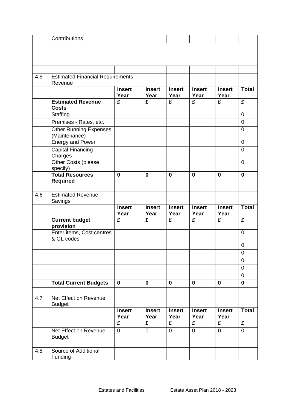|     | Contributions                                        |                         |                         |                         |                         |                         |                |
|-----|------------------------------------------------------|-------------------------|-------------------------|-------------------------|-------------------------|-------------------------|----------------|
|     |                                                      |                         |                         |                         |                         |                         |                |
|     |                                                      |                         |                         |                         |                         |                         |                |
|     |                                                      |                         |                         |                         |                         |                         |                |
|     |                                                      |                         |                         |                         |                         |                         |                |
| 4.5 | <b>Estimated Financial Requirements -</b><br>Revenue |                         |                         |                         |                         |                         |                |
|     |                                                      | <b>Insert</b><br>Year   | <b>Insert</b><br>Year   | <b>Insert</b><br>Year   | <b>Insert</b><br>Year   | <b>Insert</b><br>Year   | <b>Total</b>   |
|     | <b>Estimated Revenue</b><br><b>Costs</b>             | £                       | £                       | £                       | £                       | £                       | £              |
|     | Staffing                                             |                         |                         |                         |                         |                         | $\overline{0}$ |
|     | Premises - Rates, etc.                               |                         |                         |                         |                         |                         | $\mathbf 0$    |
|     | <b>Other Running Expenses</b><br>(Maintenance)       |                         |                         |                         |                         |                         | $\mathbf 0$    |
|     | <b>Energy and Power</b>                              |                         |                         |                         |                         |                         | $\mathbf 0$    |
|     | Capital Financing<br>Charges                         |                         |                         |                         |                         |                         | $\mathbf 0$    |
|     | Other Costs (please<br>specify)                      |                         |                         |                         |                         |                         | $\overline{0}$ |
|     | <b>Total Resources</b><br><b>Required</b>            | $\mathbf 0$             | 0                       | $\bf{0}$                | $\mathbf 0$             | $\bf{0}$                | $\mathbf 0$    |
|     |                                                      |                         |                         |                         |                         |                         |                |
| 4.6 | <b>Estimated Revenue</b><br>Savings                  |                         |                         |                         |                         |                         |                |
|     |                                                      | <b>Insert</b><br>Year   | <b>Insert</b><br>Year   | <b>Insert</b><br>Year   | <b>Insert</b><br>Year   | <b>Insert</b><br>Year   | <b>Total</b>   |
|     | <b>Current budget</b><br>provision                   | £                       | £                       | £                       | £                       | £                       | £              |
|     | Enter items, Cost centres<br>& GL codes              |                         |                         |                         |                         |                         | $\mathbf 0$    |
|     |                                                      |                         |                         |                         |                         |                         | $\mathbf 0$    |
|     |                                                      |                         |                         |                         |                         |                         | $\pmb{0}$      |
|     |                                                      |                         |                         |                         |                         |                         | $\mathbf 0$    |
|     |                                                      |                         |                         |                         |                         |                         | $\mathbf 0$    |
|     |                                                      |                         |                         |                         |                         |                         | $\overline{0}$ |
|     | <b>Total Current Budgets</b>                         | $\mathbf 0$             | 0                       | $\mathbf 0$             | $\mathbf 0$             | $\bf{0}$                | $\mathbf 0$    |
|     |                                                      |                         |                         |                         |                         |                         |                |
| 4.7 | Net Effect on Revenue<br><b>Budget</b>               |                         |                         |                         |                         |                         |                |
|     |                                                      | <b>Insert</b><br>Year   | <b>Insert</b><br>Year   | <b>Insert</b><br>Year   | <b>Insert</b><br>Year   | <b>Insert</b><br>Year   | <b>Total</b>   |
|     |                                                      | $\overline{\mathbf{f}}$ | $\overline{\mathbf{f}}$ | $\overline{\mathbf{f}}$ | $\overline{\mathbf{f}}$ | $\overline{\mathbf{f}}$ | $\overline{f}$ |
|     |                                                      | 0                       | 0                       | $\mathbf 0$             | 0                       | $\mathbf 0$             | $\mathbf 0$    |
|     | Net Effect on Revenue<br><b>Budget</b>               |                         |                         |                         |                         |                         |                |
| 4.8 | Source of Additional                                 |                         |                         |                         |                         |                         |                |